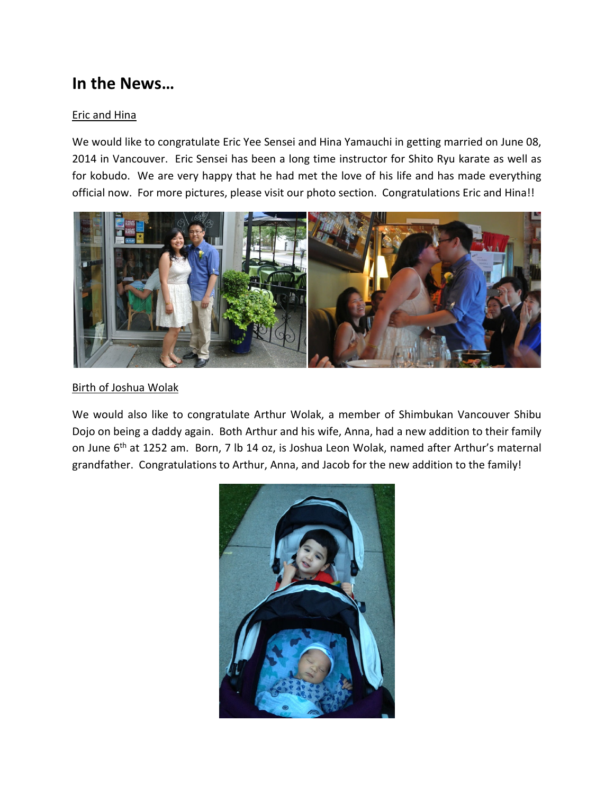# **In the News…**

## Eric and Hina

We would like to congratulate Eric Yee Sensei and Hina Yamauchi in getting married on June 08, 2014 in Vancouver. Eric Sensei has been a long time instructor for Shito Ryu karate as well as for kobudo. We are very happy that he had met the love of his life and has made everything official now. For more pictures, please visit our photo section. Congratulations Eric and Hina!!



### Birth of Joshua Wolak

We would also like to congratulate Arthur Wolak, a member of Shimbukan Vancouver Shibu Dojo on being a daddy again. Both Arthur and his wife, Anna, had a new addition to their family on June 6<sup>th</sup> at 1252 am. Born, 7 lb 14 oz, is Joshua Leon Wolak, named after Arthur's maternal grandfather. Congratulations to Arthur, Anna, and Jacob for the new addition to the family!